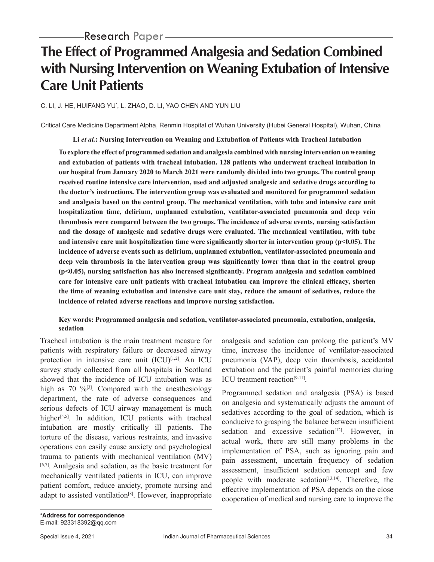# **The Effect of Programmed Analgesia and Sedation Combined with Nursing Intervention on Weaning Extubation of Intensive Care Unit Patients**

### C. LI, J. HE, HUIFANG YU\* , L. ZHAO, D. LI, YAO CHEN AND YUN LIU

Critical Care Medicine Department Alpha, Renmin Hospital of Wuhan University (Hubei General Hospital), Wuhan, China

**Li** *et al.***: Nursing Intervention on Weaning and Extubation of Patients with Tracheal Intubation**

**To explore the effect of programmed sedation and analgesia combined with nursing intervention on weaning and extubation of patients with tracheal intubation. 128 patients who underwent tracheal intubation in our hospital from January 2020 to March 2021 were randomly divided into two groups. The control group received routine intensive care intervention, used and adjusted analgesic and sedative drugs according to the doctor's instructions. The intervention group was evaluated and monitored for programmed sedation and analgesia based on the control group. The mechanical ventilation, with tube and intensive care unit hospitalization time, delirium, unplanned extubation, ventilator-associated pneumonia and deep vein thrombosis were compared between the two groups. The incidence of adverse events, nursing satisfaction and the dosage of analgesic and sedative drugs were evaluated. The mechanical ventilation, with tube and intensive care unit hospitalization time were significantly shorter in intervention group (p<0.05). The incidence of adverse events such as delirium, unplanned extubation, ventilator-associated pneumonia and deep vein thrombosis in the intervention group was significantly lower than that in the control group (p<0.05), nursing satisfaction has also increased significantly. Program analgesia and sedation combined care for intensive care unit patients with tracheal intubation can improve the clinical efficacy, shorten the time of weaning extubation and intensive care unit stay, reduce the amount of sedatives, reduce the incidence of related adverse reactions and improve nursing satisfaction.**

### **Key words: Programmed analgesia and sedation, ventilator-associated pneumonia, extubation, analgesia, sedation**

Tracheal intubation is the main treatment measure for patients with respiratory failure or decreased airway protection in intensive care unit (ICU)<sup>[1,2]</sup>. An ICU survey study collected from all hospitals in Scotland showed that the incidence of ICU intubation was as high as 70  $\frac{96}{3}$ . Compared with the anesthesiology department, the rate of adverse consequences and serious defects of ICU airway management is much higher $[4,5]$ . In addition, ICU patients with tracheal intubation are mostly critically ill patients. The torture of the disease, various restraints, and invasive operations can easily cause anxiety and psychological trauma to patients with mechanical ventilation (MV) [6,7]. Analgesia and sedation, as the basic treatment for mechanically ventilated patients in ICU, can improve patient comfort, reduce anxiety, promote nursing and adapt to assisted ventilation<sup>[8]</sup>. However, inappropriate analgesia and sedation can prolong the patient's MV time, increase the incidence of ventilator-associated pneumonia (VAP), deep vein thrombosis, accidental extubation and the patient's painful memories during ICU treatment reaction<sup>[9-11]</sup>.

Programmed sedation and analgesia (PSA) is based on analgesia and systematically adjusts the amount of sedatives according to the goal of sedation, which is conducive to grasping the balance between insufficient sedation and excessive sedation<sup>[12]</sup>. However, in actual work, there are still many problems in the implementation of PSA, such as ignoring pain and pain assessment, uncertain frequency of sedation assessment, insufficient sedation concept and few people with moderate sedation<sup>[13,14]</sup>. Therefore, the effective implementation of PSA depends on the close cooperation of medical and nursing care to improve the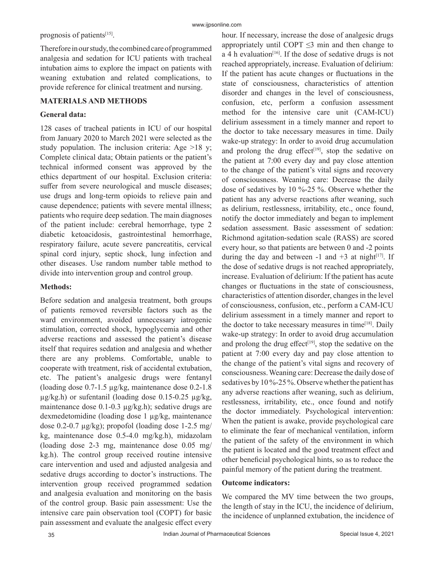prognosis of patients<sup>[15]</sup>.

Therefore in our study, the combined care of programmed analgesia and sedation for ICU patients with tracheal intubation aims to explore the impact on patients with weaning extubation and related complications, to provide reference for clinical treatment and nursing.

## **MATERIALS AND METHODS**

#### **General data:**

128 cases of tracheal patients in ICU of our hospital from January 2020 to March 2021 were selected as the study population. The inclusion criteria: Age >18 y; Complete clinical data; Obtain patients or the patient's technical informed consent was approved by the ethics department of our hospital. Exclusion criteria: suffer from severe neurological and muscle diseases; use drugs and long-term opioids to relieve pain and cause dependence; patients with severe mental illness; patients who require deep sedation. The main diagnoses of the patient include: cerebral hemorrhage, type 2 diabetic ketoacidosis, gastrointestinal hemorrhage, respiratory failure, acute severe pancreatitis, cervical spinal cord injury, septic shock, lung infection and other diseases. Use random number table method to divide into intervention group and control group.

### **Methods:**

Before sedation and analgesia treatment, both groups of patients removed reversible factors such as the ward environment, avoided unnecessary iatrogenic stimulation, corrected shock, hypoglycemia and other adverse reactions and assessed the patient's disease itself that requires sedation and analgesia and whether there are any problems. Comfortable, unable to cooperate with treatment, risk of accidental extubation, etc. The patient's analgesic drugs were fentanyl (loading dose 0.7-1.5 µg/kg, maintenance dose 0.2-1.8  $\mu$ g/kg.h) or sufentanil (loading dose 0.15-0.25  $\mu$ g/kg, maintenance dose 0.1-0.3 µg/kg.h); sedative drugs are dexmedetomidine (loading dose 1 μg/kg, maintenance dose 0.2-0.7  $\mu$ g/kg); propofol (loading dose 1-2.5 mg/ kg, maintenance dose 0.5-4.0 mg/kg.h), midazolam (loading dose 2-3 mg, maintenance dose 0.05 mg/ kg.h). The control group received routine intensive care intervention and used and adjusted analgesia and sedative drugs according to doctor's instructions. The intervention group received programmed sedation and analgesia evaluation and monitoring on the basis of the control group. Basic pain assessment: Use the intensive care pain observation tool (COPT) for basic pain assessment and evaluate the analgesic effect every hour. If necessary, increase the dose of analgesic drugs appropriately until COPT  $\leq$ 3 min and then change to a 4 h evaluation<sup>[16]</sup>. If the dose of sedative drugs is not reached appropriately, increase. Evaluation of delirium: If the patient has acute changes or fluctuations in the state of consciousness, characteristics of attention disorder and changes in the level of consciousness, confusion, etc, perform a confusion assessment method for the intensive care unit (CAM-ICU) delirium assessment in a timely manner and report to the doctor to take necessary measures in time. Daily wake-up strategy: In order to avoid drug accumulation and prolong the drug effect $[19]$ , stop the sedative on the patient at 7:00 every day and pay close attention to the change of the patient's vital signs and recovery of consciousness. Weaning care: Decrease the daily dose of sedatives by 10 %-25 %. Observe whether the patient has any adverse reactions after weaning, such as delirium, restlessness, irritability, etc., once found, notify the doctor immediately and began to implement sedation assessment. Basic assessment of sedation: Richmond agitation-sedation scale (RASS) are scored every hour, so that patients are between 0 and -2 points during the day and between  $-1$  and  $+3$  at night<sup>[17]</sup>. If the dose of sedative drugs is not reached appropriately, increase. Evaluation of delirium: If the patient has acute changes or fluctuations in the state of consciousness, characteristics of attention disorder, changes in the level of consciousness, confusion, etc., perform a CAM-ICU delirium assessment in a timely manner and report to the doctor to take necessary measures in time<sup>[18]</sup>. Daily wake-up strategy: In order to avoid drug accumulation and prolong the drug effect<sup>[19]</sup>, stop the sedative on the patient at 7:00 every day and pay close attention to the change of the patient's vital signs and recovery of consciousness. Weaning care: Decrease the daily dose of sedatives by 10 %-25 %. Observe whether the patient has any adverse reactions after weaning, such as delirium, restlessness, irritability, etc., once found and notify the doctor immediately. Psychological intervention: When the patient is awake, provide psychological care to eliminate the fear of mechanical ventilation, inform the patient of the safety of the environment in which the patient is located and the good treatment effect and other beneficial psychological hints, so as to reduce the painful memory of the patient during the treatment.

#### **Outcome indicators:**

We compared the MV time between the two groups, the length of stay in the ICU, the incidence of delirium, the incidence of unplanned extubation, the incidence of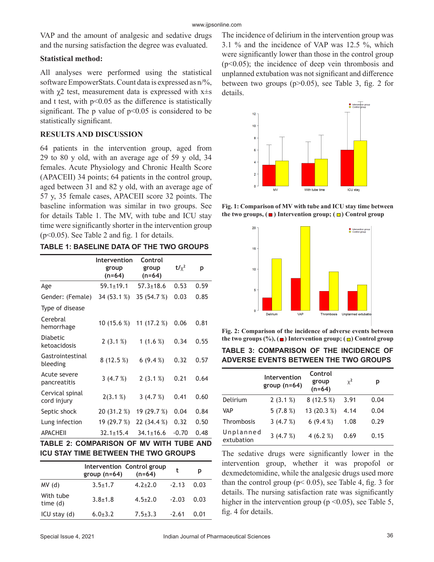VAP and the amount of analgesic and sedative drugs and the nursing satisfaction the degree was evaluated.

#### **Statistical method:**

All analyses were performed using the statistical software EmpowerStats. Count data is expressed as n/%, with  $\gamma$ 2 test, measurement data is expressed with x $\pm$ s and t test, with  $p<0.05$  as the difference is statistically significant. The p value of  $p<0.05$  is considered to be statistically significant.

#### **RESULTS AND DISCUSSION**

64 patients in the intervention group, aged from 29 to 80 y old, with an average age of 59 y old, 34 females. Acute Physiology and Chronic Health Score (APACEII) 34 points; 64 patients in the control group, aged between 31 and 82 y old, with an average age of 57 y, 35 female cases, APACEII score 32 points. The baseline information was similar in two groups. See for details Table 1. The MV, with tube and ICU stay time were significantly shorter in the intervention group (p<0.05). See Table 2 and fig. 1 for details.

| TABLE 1: BASELINE DATA OF THE TWO GROUPS |  |  |
|------------------------------------------|--|--|
|------------------------------------------|--|--|

|                                 | Intervention<br>group<br>$(n=64)$ | Control<br>group<br>$(n=64)$ | $t/\chi^2$ | р    |
|---------------------------------|-----------------------------------|------------------------------|------------|------|
| Age                             | $59.1 \pm 19.1$                   | $57.3 \pm 18.6$              | 0.53       | 0.59 |
| Gender: (Female)                | 34 (53.1 %)                       | 35 (54.7 %)                  | 0.03       | 0.85 |
| Type of disease                 |                                   |                              |            |      |
| Cerebral<br>hemorrhage          | 10 (15.6 %)                       | 11 $(17.2%)$                 | 0.06       | 0.81 |
| <b>Diabetic</b><br>ketoacidosis | 2(3.1%)                           | 1 $(1.6 %)$                  | 0.34       | 0.55 |
| Gastrointestinal<br>bleeding    | 8(12.5%)                          | 6(9.4%                       | 0.32       | 0.57 |
| Acute severe<br>pancreatitis    | 3(4.7%)                           | 2(3.1%)                      | 0.21       | 0.64 |
| Cervical spinal<br>cord injury  | 2(3.1%)                           | 3(4.7%)                      | 0.41       | 0.60 |
| Septic shock                    | 20 (31.2 %)                       | 19 (29.7 %)                  | 0.04       | 0.84 |
| Lung infection                  | 19 (29.7 %)                       | 22 (34.4 %)                  | 0.32       | 0.50 |
| <b>APACHEII</b>                 | $32.1 \pm 15.4$                   | $34.1 \pm 16.6$              | $-0.70$    | 0.48 |

# **TABLE 2: COMPARISON OF MV WITH TUBE AND ICU STAY TIME BETWEEN THE TWO GROUPS**

|                       | group $(n=64)$ | Intervention Control group<br>$(n=64)$ | t       | р    |
|-----------------------|----------------|----------------------------------------|---------|------|
| MV(d)                 | $3.5 \pm 1.7$  | $4.2 + 2.0$                            | $-2.13$ | 0.03 |
| With tube<br>time (d) | $3.8 + 1.8$    | $4.5 + 2.0$                            | $-2.03$ | 0.03 |
| $ICU$ stay $(d)$      | $6.0 + 3.2$    | $7.5 \pm 3.3$                          | $-2.61$ | Ი Ი1 |

The incidence of delirium in the intervention group was 3.1 % and the incidence of VAP was 12.5 %, which were significantly lower than those in the control group  $(p<0.05)$ ; the incidence of deep vein thrombosis and unplanned extubation was not significant and difference between two groups  $(p>0.05)$ , see Table 3, fig. 2 for details.



**Fig. 1: Comparison of MV with tube and ICU stay time between**  the two groups,  $(\blacksquare)$  Intervention group;  $(\blacksquare)$  Control group



**Fig. 2: Comparison of the incidence of adverse events between**  the two groups  $(\%), (\blacksquare)$  Intervention group;  $(\blacksquare)$  Control group

| <b>TABLE 3: COMPARISON OF THE INCIDENCE OF</b> |  |  |
|------------------------------------------------|--|--|
| ADVERSE EVENTS BETWEEN THE TWO GROUPS          |  |  |

|                         | Intervention<br>group $(n=64)$ | Control<br>group<br>$(n=64)$ | $x^2$ | р    |
|-------------------------|--------------------------------|------------------------------|-------|------|
| Delirium                | 2(3.1%)                        | 8(12.5%)                     | 3.91  | 0.04 |
| <b>VAP</b>              | 5(7.8%)                        | 13 (20.3 %)                  | 4.14  | 0.04 |
| Thrombosis              | 3(4.7%)                        | 6(9.4%                       | 1.08  | 0.29 |
| Unplanned<br>extubation | 3(4.7%)                        | 4 $(6.2 %)$                  | 0.69  | 0.15 |

The sedative drugs were significantly lower in the intervention group, whether it was propofol or dexmedetomidine, while the analgesic drugs used more than the control group ( $p$ < 0.05), see Table 4, fig. 3 for details. The nursing satisfaction rate was significantly higher in the intervention group ( $p \le 0.05$ ), see Table 5, fig. 4 for details.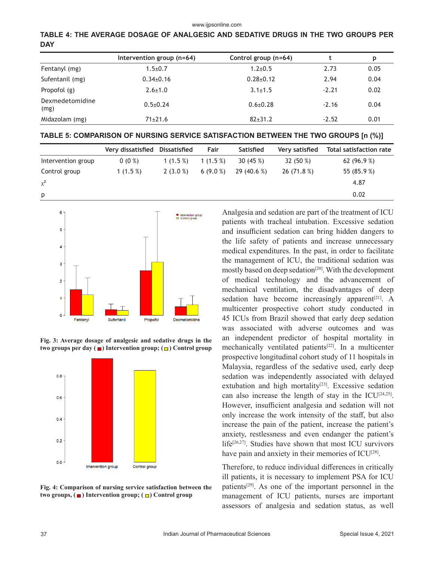**TABLE 4: THE AVERAGE DOSAGE OF ANALGESIC AND SEDATIVE DRUGS IN THE TWO GROUPS PER DAY**

|                         | Intervention group (n=64) | Control group (n=64) |         | p    |
|-------------------------|---------------------------|----------------------|---------|------|
| Fentanyl (mg)           | $1.5 \pm 0.7$             | $1.2 \pm 0.5$        | 2.73    | 0.05 |
| Sufentanil (mg)         | $0.34 \pm 0.16$           | $0.28 \pm 0.12$      | 2.94    | 0.04 |
| Propofol (g)            | $2.6 \pm 1.0$             | $3.1 \pm 1.5$        | $-2.21$ | 0.02 |
| Dexmedetomidine<br>(mg) | $0.5 \pm 0.24$            | $0.6 + 0.28$         | $-2.16$ | 0.04 |
| Midazolam (mg)          | $71 \pm 21.6$             | $82+31.2$            | $-2.52$ | 0.01 |

|                    | Very dissatisfied | Dissatisfied | Fair       | <b>Satisfied</b> | Very satisfied | Total satisfaction rate |
|--------------------|-------------------|--------------|------------|------------------|----------------|-------------------------|
| Intervention group | $0(0\%)$          | 1(1.5%)      | $1(1.5\%)$ | 30 $(45%)$       | 32 (50 %)      | 62 $(96.9\%)$           |
| Control group      | 1 $(1.5%)$        | $2(3.0\%)$   | 6(9.0%     | 29(40.6%)        | 26 (71.8 %)    | 55 (85.9 %)             |
| $x^2$              |                   |              |            |                  |                | 4.87                    |
| p                  |                   |              |            |                  |                | 0.02                    |



**Fig. 3: Average dosage of analgesic and sedative drugs in the two groups per day (**■) Intervention group; (□) Control group



**Fig. 4: Comparison of nursing service satisfaction between the**  two groups, (■) Intervention group; (□) Control group

Analgesia and sedation are part of the treatment of ICU patients with tracheal intubation. Excessive sedation and insufficient sedation can bring hidden dangers to the life safety of patients and increase unnecessary medical expenditures. In the past, in order to facilitate the management of ICU, the traditional sedation was mostly based on deep sedation[20]. With the development of medical technology and the advancement of mechanical ventilation, the disadvantages of deep sedation have become increasingly apparent $[21]$ . A multicenter prospective cohort study conducted in 45 ICUs from Brazil showed that early deep sedation was associated with adverse outcomes and was an independent predictor of hospital mortality in mechanically ventilated patients[22]. In a multicenter prospective longitudinal cohort study of 11 hospitals in Malaysia, regardless of the sedative used, early deep sedation was independently associated with delayed extubation and high mortality<sup>[23]</sup>. Excessive sedation can also increase the length of stay in the ICU[24,25]. However, insufficient analgesia and sedation will not only increase the work intensity of the staff, but also increase the pain of the patient, increase the patient's anxiety, restlessness and even endanger the patient's life<sup>[26,27]</sup>. Studies have shown that most ICU survivors have pain and anxiety in their memories of  $ICU^{[28]}$ .

Therefore, to reduce individual differences in critically ill patients, it is necessary to implement PSA for ICU patients[29]. As one of the important personnel in the management of ICU patients, nurses are important assessors of analgesia and sedation status, as well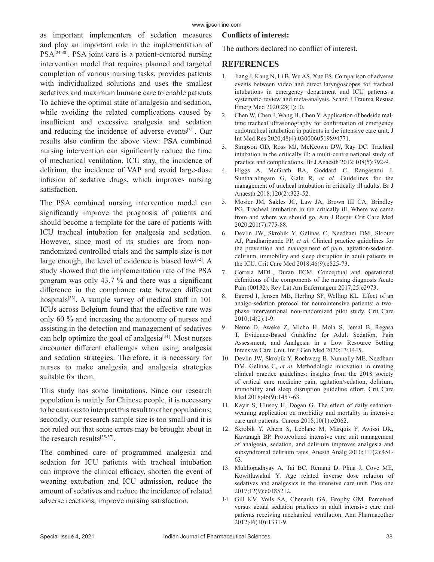#### www.ijpsonline.com

as important implementers of sedation measures and play an important role in the implementation of PSA<sup>[24,30]</sup>. PSA joint care is a patient-centered nursing intervention model that requires planned and targeted completion of various nursing tasks, provides patients with individualized solutions and uses the smallest sedatives and maximum humane care to enable patients To achieve the optimal state of analgesia and sedation, while avoiding the related complications caused by insufficient and excessive analgesia and sedation and reducing the incidence of adverse events[31]. Our results also confirm the above view: PSA combined nursing intervention can significantly reduce the time of mechanical ventilation, ICU stay, the incidence of delirium, the incidence of VAP and avoid large-dose infusion of sedative drugs, which improves nursing satisfaction.

The PSA combined nursing intervention model can significantly improve the prognosis of patients and should become a template for the care of patients with ICU tracheal intubation for analgesia and sedation. However, since most of its studies are from nonrandomized controlled trials and the sample size is not large enough, the level of evidence is biased  $low^{[32]}$ . A study showed that the implementation rate of the PSA program was only 43.7 % and there was a significant difference in the compliance rate between different hospitals<sup>[33]</sup>. A sample survey of medical staff in 101 ICUs across Belgium found that the effective rate was only 60 % and increasing the autonomy of nurses and assisting in the detection and management of sedatives can help optimize the goal of analgesia $[34]$ . Most nurses encounter different challenges when using analgesia and sedation strategies. Therefore, it is necessary for nurses to make analgesia and analgesia strategies suitable for them.

This study has some limitations. Since our research population is mainly for Chinese people, it is necessary to be cautious to interpret this result to other populations; secondly, our research sample size is too small and it is not ruled out that some errors may be brought about in the research results[35-37].

The combined care of programmed analgesia and sedation for ICU patients with tracheal intubation can improve the clinical efficacy, shorten the event of weaning extubation and ICU admission, reduce the amount of sedatives and reduce the incidence of related adverse reactions, improve nursing satisfaction.

#### **Conflicts of interest:**

The authors declared no conflict of interest.

# **REFERENCES**

- 1. Jiang J, Kang N, Li B, Wu AS, Xue FS. Comparison of adverse events between video and direct laryngoscopes for tracheal intubations in emergency department and ICU patients–a systematic review and meta-analysis. Scand J Trauma Resusc Emerg Med 2020;28(1):10.
- 2. Chen W, Chen J, Wang H, Chen Y. Application of bedside realtime tracheal ultrasonography for confirmation of emergency endotracheal intubation in patients in the intensive care unit. J Int Med Res 2020;48(4):0300060519894771.
- 3. Simpson GD, Ross MJ, McKeown DW, Ray DC. Tracheal intubation in the critically ill: a multi-centre national study of practice and complications. Br J Anaesth 2012;108(5):792-9.
- 4. Higgs A, McGrath BA, Goddard C, Rangasami J, Suntharalingam G, Gale R, *et al.* Guidelines for the management of tracheal intubation in critically ill adults. Br J Anaesth 2018;120(2):323-52.
- 5. Mosier JM, Sakles JC, Law JA, Brown III CA, Brindley PG. Tracheal intubation in the critically ill. Where we came from and where we should go. Am J Respir Crit Care Med 2020;201(7):775-88.
- 6. Devlin JW, Skrobik Y, Gélinas C, Needham DM, Slooter AJ, Pandharipande PP, *et al.* Clinical practice guidelines for the prevention and management of pain, agitation/sedation, delirium, immobility and sleep disruption in adult patients in the ICU. Crit Care Med 2018;46(9):e825-73.
- 7. Correia MDL, Duran ECM. Conceptual and operational definitions of the components of the nursing diagnosis Acute Pain (00132). Rev Lat Am Enfermagem 2017;25:e2973.
- 8. Egerod I, Jensen MB, Herling SF, Welling KL. Effect of an analgo-sedation protocol for neurointensive patients: a twophase interventional non-randomized pilot study. Crit Care 2010;14(2):1-9.
- 9. Neme D, Aweke Z, Micho H, Mola S, Jemal B, Regasa T. Evidence-Based Guideline for Adult Sedation, Pain Assessment, and Analgesia in a Low Resource Setting Intensive Care Unit. Int J Gen Med 2020;13:1445.
- 10. Devlin JW, Skrobik Y, Rochwerg B, Nunnally ME, Needham DM, Gelinas C, *et al.* Methodologic innovation in creating clinical practice guidelines: insights from the 2018 society of critical care medicine pain, agitation/sedation, delirium, immobility and sleep disruption guideline effort. Crit Care Med 2018;46(9):1457-63.
- 11. Kayir S, Ulusoy H, Dogan G. The effect of daily sedationweaning application on morbidity and mortality in intensive care unit patients. Cureus 2018;10(1):e2062.
- 12. Skrobik Y, Ahern S, Leblanc M, Marquis F, Awissi DK, Kavanagh BP. Protocolized intensive care unit management of analgesia, sedation, and delirium improves analgesia and subsyndromal delirium rates. Anesth Analg 2010;111(2):451- 63.
- 13. Mukhopadhyay A, Tai BC, Remani D, Phua J, Cove ME, Kowitlawakul Y. Age related inverse dose relation of sedatives and analgesics in the intensive care unit. Plos one 2017;12(9):e0185212.
- 14. Gill KV, Voils SA, Chenault GA, Brophy GM. Perceived versus actual sedation practices in adult intensive care unit patients receiving mechanical ventilation. Ann Pharmacother 2012;46(10):1331-9.